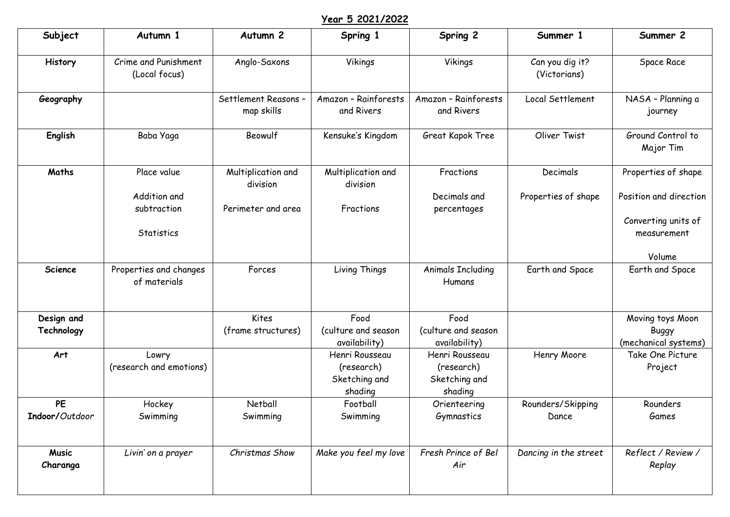## **Year 5 2021/2022**

| Subject                     | Autumn 1                                  | Autumn <sub>2</sub>                | Spring 1                                                 | Spring 2                                                 | Summer 1                        | Summer 2                                                     |
|-----------------------------|-------------------------------------------|------------------------------------|----------------------------------------------------------|----------------------------------------------------------|---------------------------------|--------------------------------------------------------------|
| History                     | Crime and Punishment<br>(Local focus)     | Anglo-Saxons                       | Vikings                                                  | Vikings                                                  | Can you dig it?<br>(Victorians) | Space Race                                                   |
| Geography                   |                                           | Settlement Reasons -<br>map skills | Amazon - Rainforests<br>and Rivers                       | Amazon - Rainforests<br>and Rivers                       | Local Settlement                | NASA - Planning a<br>journey                                 |
| English                     | Baba Yaga                                 | Beowulf                            | Kensuke's Kingdom                                        | Great Kapok Tree                                         | Oliver Twist                    | Ground Control to<br>Major Tim                               |
| Maths                       | Place value                               | Multiplication and<br>division     | Multiplication and<br>division                           | Fractions                                                | Decimals                        | Properties of shape                                          |
|                             | Addition and<br>subtraction<br>Statistics | Perimeter and area                 | Fractions                                                | Decimals and<br>percentages                              | Properties of shape             | Position and direction<br>Converting units of<br>measurement |
|                             |                                           |                                    |                                                          |                                                          |                                 | Volume                                                       |
| Science                     | Properties and changes<br>of materials    | Forces                             | Living Things                                            | <b>Animals Including</b><br>Humans                       | Earth and Space                 | Earth and Space                                              |
| Design and                  |                                           | Kites                              | Food                                                     | Food                                                     |                                 | Moving toys Moon                                             |
| Technology                  |                                           | (frame structures)                 | (culture and season<br>availability)                     | (culture and season<br>availability)                     |                                 | <b>Buggy</b><br>(mechanical systems)                         |
| Art                         | Lowry<br>(research and emotions)          |                                    | Henri Rousseau<br>(research)<br>Sketching and<br>shading | Henri Rousseau<br>(research)<br>Sketching and<br>shading | Henry Moore                     | Take One Picture<br>Project                                  |
| <b>PE</b><br>Indoor/Outdoor | Hockey<br>Swimming                        | Netball<br>Swimming                | Football<br>Swimming                                     | Orienteering<br>Gymnastics                               | Rounders/Skipping<br>Dance      | Rounders<br>Games                                            |
| <b>Music</b><br>Charanga    | Livin' on a prayer                        | Christmas Show                     | Make you feel my love                                    | Fresh Prince of Bel<br>Air                               | Dancing in the street           | Reflect / Review /<br>Replay                                 |